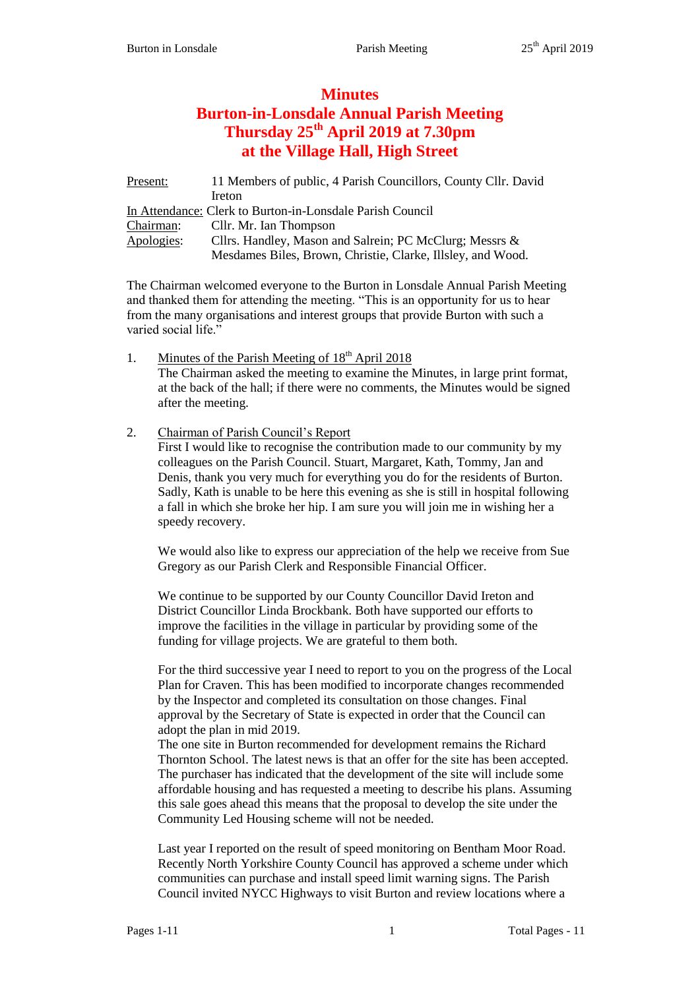# **Minutes Burton-in-Lonsdale Annual Parish Meeting Thursday 25th April 2019 at 7.30pm at the Village Hall, High Street**

Present: 11 Members of public, 4 Parish Councillors, County Cllr. David Ireton In Attendance: Clerk to Burton-in-Lonsdale Parish Council Chairman: Cllr. Mr. Ian Thompson Apologies: Cllrs. Handley, Mason and Salrein; PC McClurg; Messrs & Mesdames Biles, Brown, Christie, Clarke, Illsley, and Wood.

The Chairman welcomed everyone to the Burton in Lonsdale Annual Parish Meeting and thanked them for attending the meeting. "This is an opportunity for us to hear from the many organisations and interest groups that provide Burton with such a varied social life."

1. Minutes of the Parish Meeting of  $18<sup>th</sup>$  April 2018 The Chairman asked the meeting to examine the Minutes, in large print format, at the back of the hall; if there were no comments, the Minutes would be signed after the meeting.

# 2. Chairman of Parish Council's Report

First I would like to recognise the contribution made to our community by my colleagues on the Parish Council. Stuart, Margaret, Kath, Tommy, Jan and Denis, thank you very much for everything you do for the residents of Burton. Sadly, Kath is unable to be here this evening as she is still in hospital following a fall in which she broke her hip. I am sure you will join me in wishing her a speedy recovery.

We would also like to express our appreciation of the help we receive from Sue Gregory as our Parish Clerk and Responsible Financial Officer.

We continue to be supported by our County Councillor David Ireton and District Councillor Linda Brockbank. Both have supported our efforts to improve the facilities in the village in particular by providing some of the funding for village projects. We are grateful to them both.

For the third successive year I need to report to you on the progress of the Local Plan for Craven. This has been modified to incorporate changes recommended by the Inspector and completed its consultation on those changes. Final approval by the Secretary of State is expected in order that the Council can adopt the plan in mid 2019.

The one site in Burton recommended for development remains the Richard Thornton School. The latest news is that an offer for the site has been accepted. The purchaser has indicated that the development of the site will include some affordable housing and has requested a meeting to describe his plans. Assuming this sale goes ahead this means that the proposal to develop the site under the Community Led Housing scheme will not be needed.

Last year I reported on the result of speed monitoring on Bentham Moor Road. Recently North Yorkshire County Council has approved a scheme under which communities can purchase and install speed limit warning signs. The Parish Council invited NYCC Highways to visit Burton and review locations where a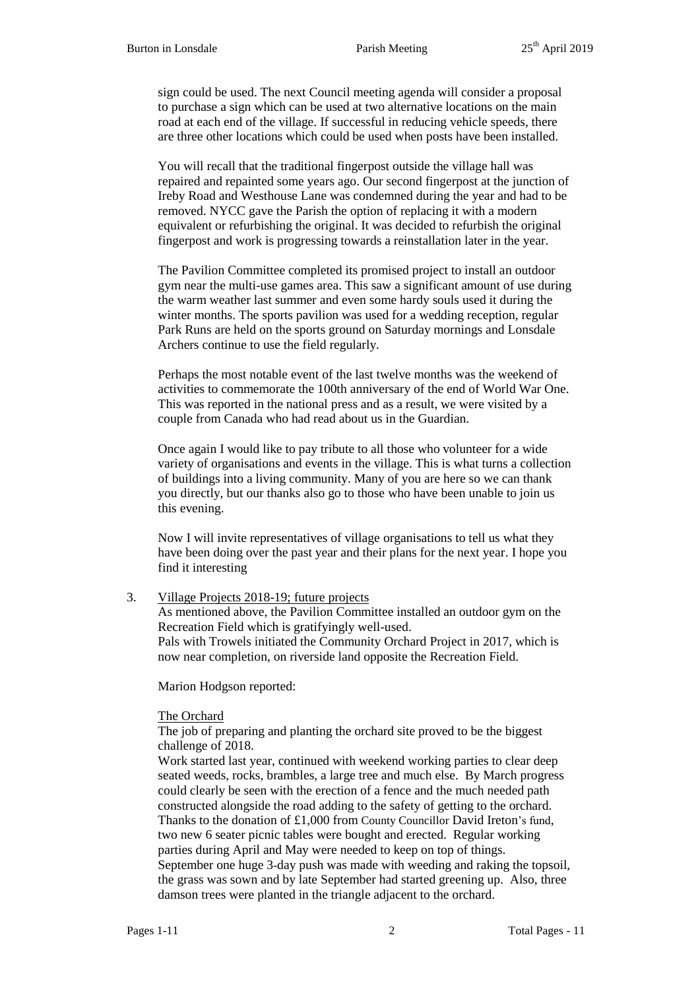sign could be used. The next Council meeting agenda will consider a proposal to purchase a sign which can be used at two alternative locations on the main road at each end of the village. If successful in reducing vehicle speeds, there are three other locations which could be used when posts have been installed.

You will recall that the traditional fingerpost outside the village hall was repaired and repainted some years ago. Our second fingerpost at the junction of Ireby Road and Westhouse Lane was condemned during the year and had to be removed. NYCC gave the Parish the option of replacing it with a modern equivalent or refurbishing the original. It was decided to refurbish the original fingerpost and work is progressing towards a reinstallation later in the year.

The Pavilion Committee completed its promised project to install an outdoor gym near the multi-use games area. This saw a significant amount of use during the warm weather last summer and even some hardy souls used it during the winter months. The sports pavilion was used for a wedding reception, regular Park Runs are held on the sports ground on Saturday mornings and Lonsdale Archers continue to use the field regularly.

Perhaps the most notable event of the last twelve months was the weekend of activities to commemorate the 100th anniversary of the end of World War One. This was reported in the national press and as a result, we were visited by a couple from Canada who had read about us in the Guardian.

Once again I would like to pay tribute to all those who volunteer for a wide variety of organisations and events in the village. This is what turns a collection of buildings into a living community. Many of you are here so we can thank you directly, but our thanks also go to those who have been unable to join us this evening.

Now I will invite representatives of village organisations to tell us what they have been doing over the past year and their plans for the next year. I hope you find it interesting

3. Village Projects 2018-19; future projects

As mentioned above, the Pavilion Committee installed an outdoor gym on the Recreation Field which is gratifyingly well-used. Pals with Trowels initiated the Community Orchard Project in 2017, which is now near completion, on riverside land opposite the Recreation Field.

Marion Hodgson reported:

The Orchard

The job of preparing and planting the orchard site proved to be the biggest challenge of 2018.

Work started last year, continued with weekend working parties to clear deep seated weeds, rocks, brambles, a large tree and much else. By March progress could clearly be seen with the erection of a fence and the much needed path constructed alongside the road adding to the safety of getting to the orchard. Thanks to the donation of £1,000 from County Councillor David Ireton's fund, two new 6 seater picnic tables were bought and erected. Regular working parties during April and May were needed to keep on top of things. September one huge 3-day push was made with weeding and raking the topsoil, the grass was sown and by late September had started greening up. Also, three damson trees were planted in the triangle adjacent to the orchard.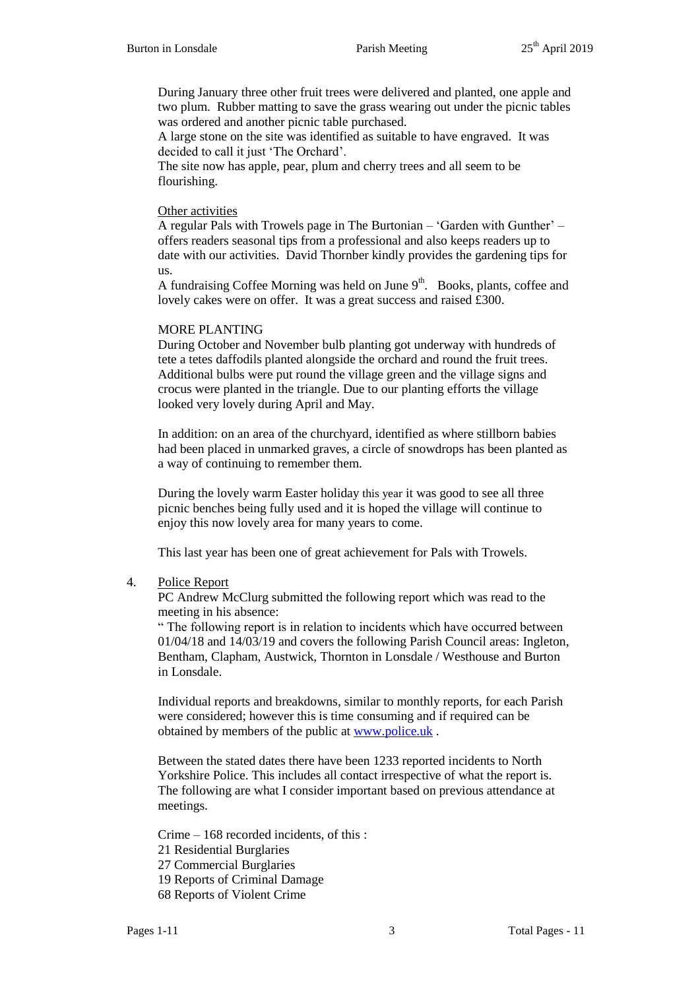During January three other fruit trees were delivered and planted, one apple and two plum. Rubber matting to save the grass wearing out under the picnic tables was ordered and another picnic table purchased.

A large stone on the site was identified as suitable to have engraved. It was decided to call it just 'The Orchard'.

The site now has apple, pear, plum and cherry trees and all seem to be flourishing.

## Other activities

A regular Pals with Trowels page in The Burtonian – 'Garden with Gunther' – offers readers seasonal tips from a professional and also keeps readers up to date with our activities. David Thornber kindly provides the gardening tips for us.

A fundraising Coffee Morning was held on June  $9<sup>th</sup>$ . Books, plants, coffee and lovely cakes were on offer. It was a great success and raised £300.

## MORE PLANTING

During October and November bulb planting got underway with hundreds of tete a tetes daffodils planted alongside the orchard and round the fruit trees. Additional bulbs were put round the village green and the village signs and crocus were planted in the triangle. Due to our planting efforts the village looked very lovely during April and May.

In addition: on an area of the churchyard, identified as where stillborn babies had been placed in unmarked graves, a circle of snowdrops has been planted as a way of continuing to remember them.

During the lovely warm Easter holiday this year it was good to see all three picnic benches being fully used and it is hoped the village will continue to enjoy this now lovely area for many years to come.

This last year has been one of great achievement for Pals with Trowels.

4. Police Report

PC Andrew McClurg submitted the following report which was read to the meeting in his absence:

" The following report is in relation to incidents which have occurred between 01/04/18 and 14/03/19 and covers the following Parish Council areas: Ingleton, Bentham, Clapham, Austwick, Thornton in Lonsdale / Westhouse and Burton in Lonsdale.

Individual reports and breakdowns, similar to monthly reports, for each Parish were considered; however this is time consuming and if required can be obtained by members of the public at [www.police.uk](http://www.police.uk/) .

Between the stated dates there have been 1233 reported incidents to North Yorkshire Police. This includes all contact irrespective of what the report is. The following are what I consider important based on previous attendance at meetings.

Crime – 168 recorded incidents, of this :

- 21 Residential Burglaries
- 27 Commercial Burglaries

19 Reports of Criminal Damage

68 Reports of Violent Crime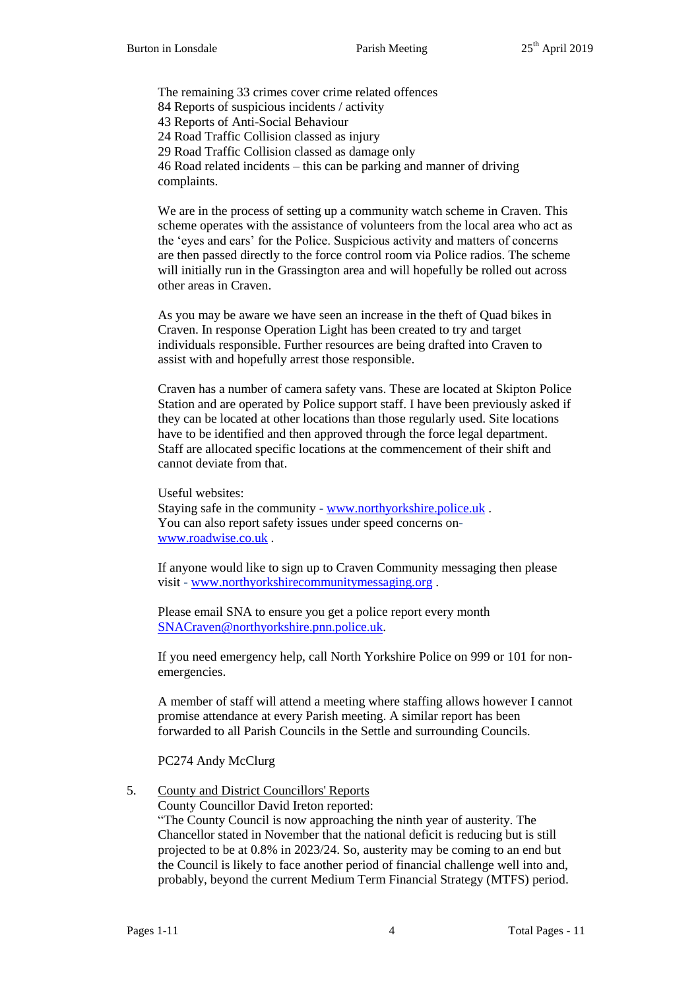The remaining 33 crimes cover crime related offences 84 Reports of suspicious incidents / activity 43 Reports of Anti-Social Behaviour 24 Road Traffic Collision classed as injury 29 Road Traffic Collision classed as damage only 46 Road related incidents – this can be parking and manner of driving complaints.

We are in the process of setting up a community watch scheme in Craven. This scheme operates with the assistance of volunteers from the local area who act as the 'eyes and ears' for the Police. Suspicious activity and matters of concerns are then passed directly to the force control room via Police radios. The scheme will initially run in the Grassington area and will hopefully be rolled out across other areas in Craven.

As you may be aware we have seen an increase in the theft of Quad bikes in Craven. In response Operation Light has been created to try and target individuals responsible. Further resources are being drafted into Craven to assist with and hopefully arrest those responsible.

Craven has a number of camera safety vans. These are located at Skipton Police Station and are operated by Police support staff. I have been previously asked if they can be located at other locations than those regularly used. Site locations have to be identified and then approved through the force legal department. Staff are allocated specific locations at the commencement of their shift and cannot deviate from that.

Useful websites: Staying safe in the community - [www.northyorkshire.police.uk](http://www.northyorkshire.police.uk/) . You can also report safety issues under speed concerns on[www.roadwise.co.uk](http://www.roadwise.co.uk/) .

If anyone would like to sign up to Craven Community messaging then please visit - [www.northyorkshirecommunitymessaging.org](http://www.northyorkshirecommunitymessaging.org/) .

Please email SNA to ensure you get a police report every month [SNACraven@northyorkshire.pnn.police.uk.](mailto:SNACraven@northyorkshire.pnn.police.uk)

If you need emergency help, call North Yorkshire Police on 999 or 101 for nonemergencies.

A member of staff will attend a meeting where staffing allows however I cannot promise attendance at every Parish meeting. A similar report has been forwarded to all Parish Councils in the Settle and surrounding Councils.

PC274 Andy McClurg

# 5. County and District Councillors' Reports

County Councillor David Ireton reported:

"The County Council is now approaching the ninth year of austerity. The Chancellor stated in November that the national deficit is reducing but is still projected to be at 0.8% in 2023/24. So, austerity may be coming to an end but the Council is likely to face another period of financial challenge well into and, probably, beyond the current Medium Term Financial Strategy (MTFS) period.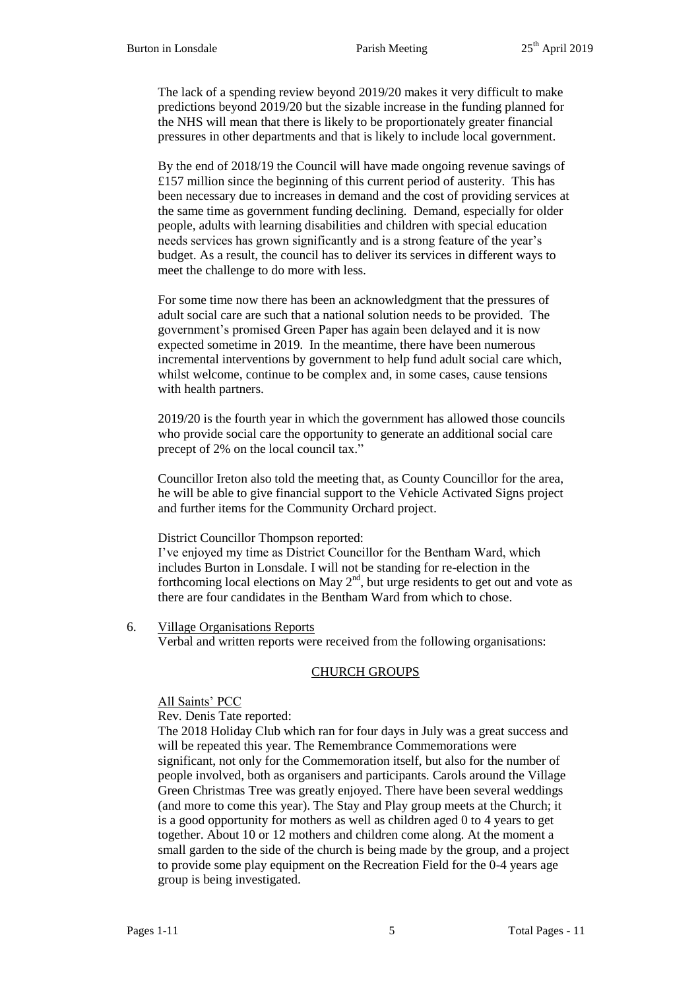The lack of a spending review beyond 2019/20 makes it very difficult to make predictions beyond 2019/20 but the sizable increase in the funding planned for the NHS will mean that there is likely to be proportionately greater financial pressures in other departments and that is likely to include local government.

By the end of 2018/19 the Council will have made ongoing revenue savings of £157 million since the beginning of this current period of austerity. This has been necessary due to increases in demand and the cost of providing services at the same time as government funding declining. Demand, especially for older people, adults with learning disabilities and children with special education needs services has grown significantly and is a strong feature of the year's budget. As a result, the council has to deliver its services in different ways to meet the challenge to do more with less.

For some time now there has been an acknowledgment that the pressures of adult social care are such that a national solution needs to be provided. The government's promised Green Paper has again been delayed and it is now expected sometime in 2019. In the meantime, there have been numerous incremental interventions by government to help fund adult social care which, whilst welcome, continue to be complex and, in some cases, cause tensions with health partners.

2019/20 is the fourth year in which the government has allowed those councils who provide social care the opportunity to generate an additional social care precept of 2% on the local council tax."

Councillor Ireton also told the meeting that, as County Councillor for the area, he will be able to give financial support to the Vehicle Activated Signs project and further items for the Community Orchard project.

## District Councillor Thompson reported:

I've enjoyed my time as District Councillor for the Bentham Ward, which includes Burton in Lonsdale. I will not be standing for re-election in the forthcoming local elections on May  $2<sup>nd</sup>$ , but urge residents to get out and vote as there are four candidates in the Bentham Ward from which to chose.

6. Village Organisations Reports

Verbal and written reports were received from the following organisations:

## CHURCH GROUPS

## All Saints' PCC

Rev. Denis Tate reported:

The 2018 Holiday Club which ran for four days in July was a great success and will be repeated this year. The Remembrance Commemorations were significant, not only for the Commemoration itself, but also for the number of people involved, both as organisers and participants. Carols around the Village Green Christmas Tree was greatly enjoyed. There have been several weddings (and more to come this year). The Stay and Play group meets at the Church; it is a good opportunity for mothers as well as children aged 0 to 4 years to get together. About 10 or 12 mothers and children come along. At the moment a small garden to the side of the church is being made by the group, and a project to provide some play equipment on the Recreation Field for the 0-4 years age group is being investigated.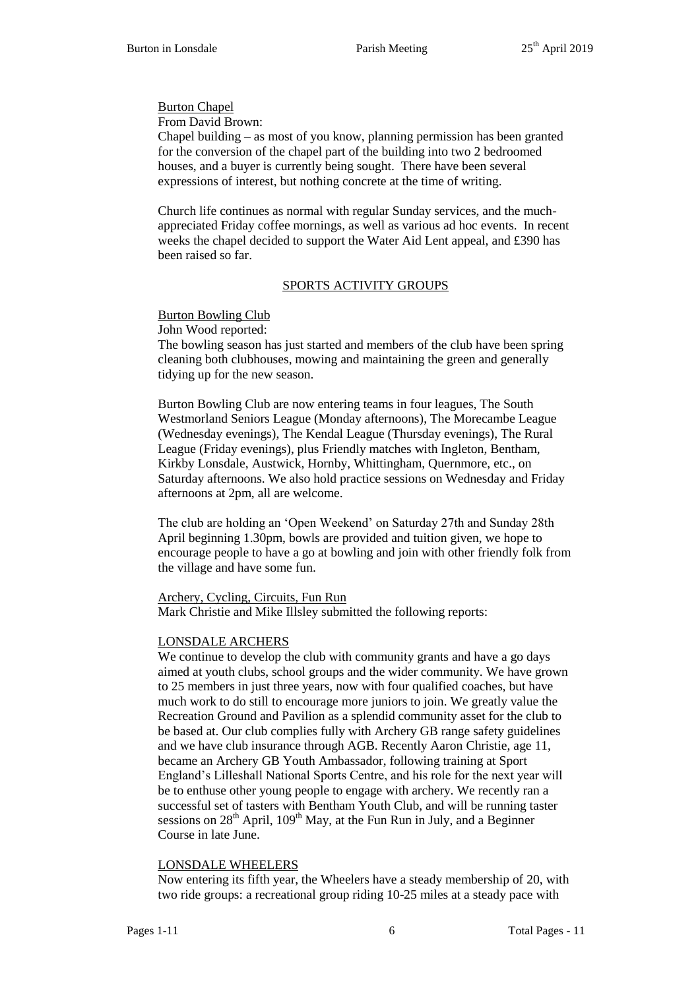Burton Chapel

From David Brown:

Chapel building – as most of you know, planning permission has been granted for the conversion of the chapel part of the building into two 2 bedroomed houses, and a buyer is currently being sought. There have been several expressions of interest, but nothing concrete at the time of writing.

Church life continues as normal with regular Sunday services, and the muchappreciated Friday coffee mornings, as well as various ad hoc events. In recent weeks the chapel decided to support the Water Aid Lent appeal, and £390 has been raised so far.

# SPORTS ACTIVITY GROUPS

# Burton Bowling Club

John Wood reported:

The bowling season has just started and members of the club have been spring cleaning both clubhouses, mowing and maintaining the green and generally tidying up for the new season.

Burton Bowling Club are now entering teams in four leagues, The South Westmorland Seniors League (Monday afternoons), The Morecambe League (Wednesday evenings), The Kendal League (Thursday evenings), The Rural League (Friday evenings), plus Friendly matches with Ingleton, Bentham, Kirkby Lonsdale, Austwick, Hornby, Whittingham, Quernmore, etc., on Saturday afternoons. We also hold practice sessions on Wednesday and Friday afternoons at 2pm, all are welcome.

The club are holding an 'Open Weekend' on Saturday 27th and Sunday 28th April beginning 1.30pm, bowls are provided and tuition given, we hope to encourage people to have a go at bowling and join with other friendly folk from the village and have some fun.

# Archery, Cycling, Circuits, Fun Run

Mark Christie and Mike Illsley submitted the following reports:

# LONSDALE ARCHERS

We continue to develop the club with community grants and have a go days aimed at youth clubs, school groups and the wider community. We have grown to 25 members in just three years, now with four qualified coaches, but have much work to do still to encourage more juniors to join. We greatly value the Recreation Ground and Pavilion as a splendid community asset for the club to be based at. Our club complies fully with Archery GB range safety guidelines and we have club insurance through AGB. Recently Aaron Christie, age 11, became an Archery GB Youth Ambassador, following training at Sport England's Lilleshall National Sports Centre, and his role for the next year will be to enthuse other young people to engage with archery. We recently ran a successful set of tasters with Bentham Youth Club, and will be running taster sessions on  $28<sup>th</sup>$  April,  $109<sup>th</sup>$  May, at the Fun Run in July, and a Beginner Course in late June.

# LONSDALE WHEELERS

Now entering its fifth year, the Wheelers have a steady membership of 20, with two ride groups: a recreational group riding 10-25 miles at a steady pace with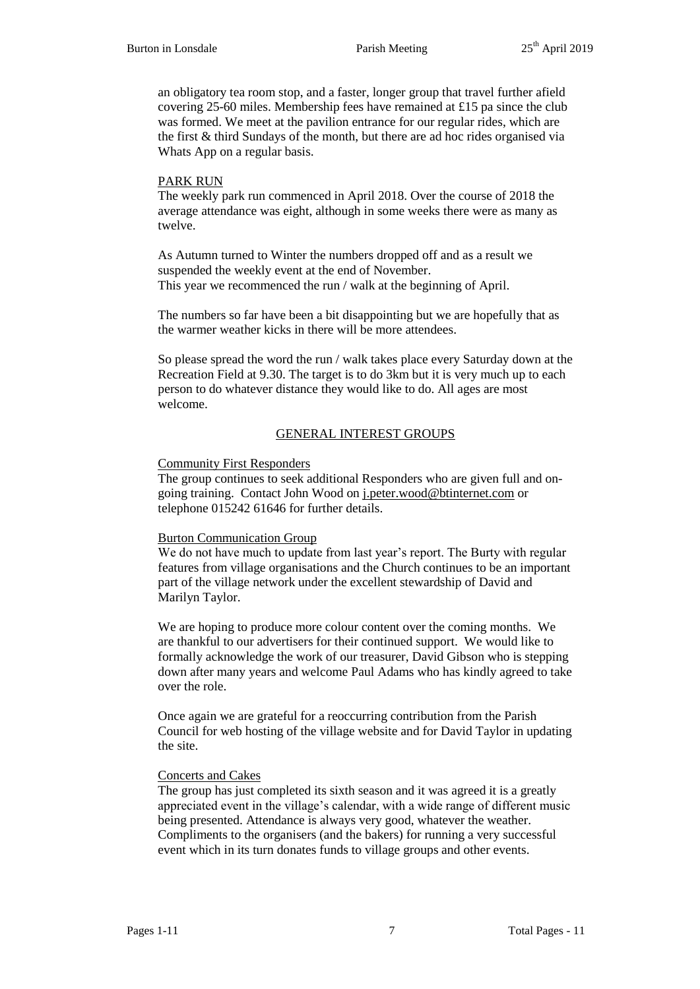an obligatory tea room stop, and a faster, longer group that travel further afield covering 25-60 miles. Membership fees have remained at £15 pa since the club was formed. We meet at the pavilion entrance for our regular rides, which are the first & third Sundays of the month, but there are ad hoc rides organised via Whats App on a regular basis.

## PARK RUN

The weekly park run commenced in April 2018. Over the course of 2018 the average attendance was eight, although in some weeks there were as many as twelve.

As Autumn turned to Winter the numbers dropped off and as a result we suspended the weekly event at the end of November. This year we recommenced the run / walk at the beginning of April.

The numbers so far have been a bit disappointing but we are hopefully that as the warmer weather kicks in there will be more attendees.

So please spread the word the run / walk takes place every Saturday down at the Recreation Field at 9.30. The target is to do 3km but it is very much up to each person to do whatever distance they would like to do. All ages are most welcome.

# GENERAL INTEREST GROUPS

## Community First Responders

The group continues to seek additional Responders who are given full and ongoing training. Contact John Wood on [j.peter.wood@btinternet.com](mailto:j.peter.wood@btinternet.com) or telephone 015242 61646 for further details.

## Burton Communication Group

We do not have much to update from last year's report. The Burty with regular features from village organisations and the Church continues to be an important part of the village network under the excellent stewardship of David and Marilyn Taylor.

We are hoping to produce more colour content over the coming months. We are thankful to our advertisers for their continued support. We would like to formally acknowledge the work of our treasurer, David Gibson who is stepping down after many years and welcome Paul Adams who has kindly agreed to take over the role.

Once again we are grateful for a reoccurring contribution from the Parish Council for web hosting of the village website and for David Taylor in updating the site.

# Concerts and Cakes

The group has just completed its sixth season and it was agreed it is a greatly appreciated event in the village's calendar, with a wide range of different music being presented. Attendance is always very good, whatever the weather. Compliments to the organisers (and the bakers) for running a very successful event which in its turn donates funds to village groups and other events.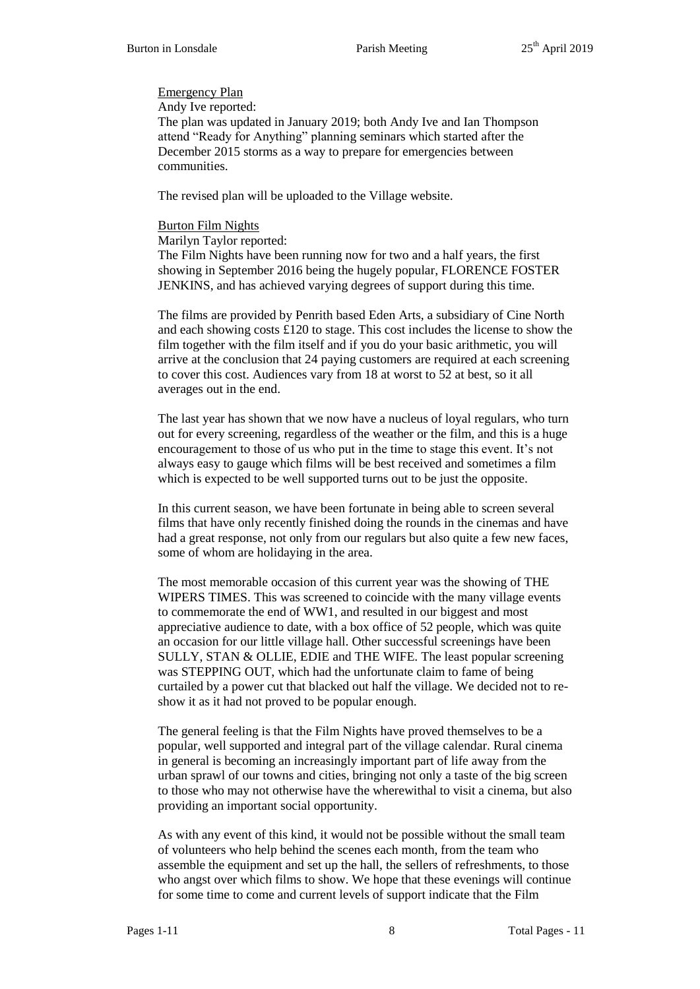## Emergency Plan

Andy Ive reported:

The plan was updated in January 2019; both Andy Ive and Ian Thompson attend "Ready for Anything" planning seminars which started after the December 2015 storms as a way to prepare for emergencies between communities.

The revised plan will be uploaded to the Village website.

## Burton Film Nights

Marilyn Taylor reported:

The Film Nights have been running now for two and a half years, the first showing in September 2016 being the hugely popular, FLORENCE FOSTER JENKINS, and has achieved varying degrees of support during this time.

The films are provided by Penrith based Eden Arts, a subsidiary of Cine North and each showing costs £120 to stage. This cost includes the license to show the film together with the film itself and if you do your basic arithmetic, you will arrive at the conclusion that 24 paying customers are required at each screening to cover this cost. Audiences vary from 18 at worst to 52 at best, so it all averages out in the end.

The last year has shown that we now have a nucleus of loyal regulars, who turn out for every screening, regardless of the weather or the film, and this is a huge encouragement to those of us who put in the time to stage this event. It's not always easy to gauge which films will be best received and sometimes a film which is expected to be well supported turns out to be just the opposite.

In this current season, we have been fortunate in being able to screen several films that have only recently finished doing the rounds in the cinemas and have had a great response, not only from our regulars but also quite a few new faces, some of whom are holidaying in the area.

The most memorable occasion of this current year was the showing of THE WIPERS TIMES. This was screened to coincide with the many village events to commemorate the end of WW1, and resulted in our biggest and most appreciative audience to date, with a box office of 52 people, which was quite an occasion for our little village hall. Other successful screenings have been SULLY, STAN & OLLIE, EDIE and THE WIFE. The least popular screening was STEPPING OUT, which had the unfortunate claim to fame of being curtailed by a power cut that blacked out half the village. We decided not to reshow it as it had not proved to be popular enough.

The general feeling is that the Film Nights have proved themselves to be a popular, well supported and integral part of the village calendar. Rural cinema in general is becoming an increasingly important part of life away from the urban sprawl of our towns and cities, bringing not only a taste of the big screen to those who may not otherwise have the wherewithal to visit a cinema, but also providing an important social opportunity.

As with any event of this kind, it would not be possible without the small team of volunteers who help behind the scenes each month, from the team who assemble the equipment and set up the hall, the sellers of refreshments, to those who angst over which films to show. We hope that these evenings will continue for some time to come and current levels of support indicate that the Film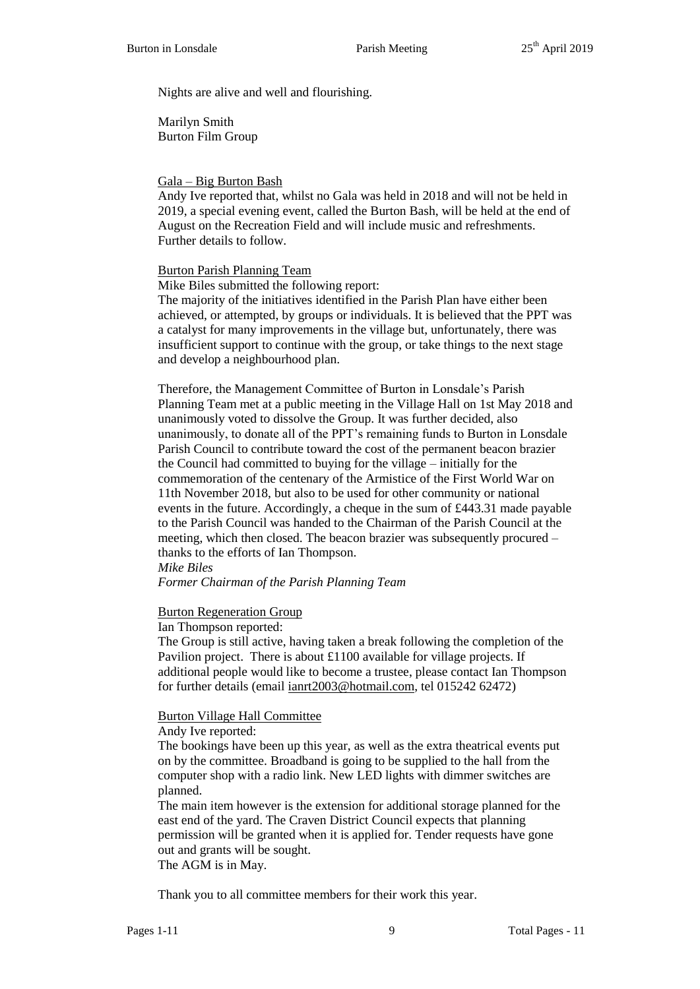Nights are alive and well and flourishing.

Marilyn Smith Burton Film Group

## Gala – Big Burton Bash

Andy Ive reported that, whilst no Gala was held in 2018 and will not be held in 2019, a special evening event, called the Burton Bash, will be held at the end of August on the Recreation Field and will include music and refreshments. Further details to follow.

## Burton Parish Planning Team

Mike Biles submitted the following report:

The majority of the initiatives identified in the Parish Plan have either been achieved, or attempted, by groups or individuals. It is believed that the PPT was a catalyst for many improvements in the village but, unfortunately, there was insufficient support to continue with the group, or take things to the next stage and develop a neighbourhood plan.

Therefore, the Management Committee of Burton in Lonsdale's Parish Planning Team met at a public meeting in the Village Hall on 1st May 2018 and unanimously voted to dissolve the Group. It was further decided, also unanimously, to donate all of the PPT's remaining funds to Burton in Lonsdale Parish Council to contribute toward the cost of the permanent beacon brazier the Council had committed to buying for the village – initially for the commemoration of the centenary of the Armistice of the First World War on 11th November 2018, but also to be used for other community or national events in the future. Accordingly, a cheque in the sum of £443.31 made payable to the Parish Council was handed to the Chairman of the Parish Council at the meeting, which then closed. The beacon brazier was subsequently procured – thanks to the efforts of Ian Thompson. *Mike Biles*

*Former Chairman of the Parish Planning Team*

## Burton Regeneration Group

Ian Thompson reported:

The Group is still active, having taken a break following the completion of the Pavilion project. There is about £1100 available for village projects. If additional people would like to become a trustee, please contact Ian Thompson for further details (email [ianrt2003@hotmail.com,](mailto:ianrt2003@hotmail.com) tel 015242 62472)

## Burton Village Hall Committee

Andy Ive reported:

The bookings have been up this year, as well as the extra theatrical events put on by the committee. Broadband is going to be supplied to the hall from the computer shop with a radio link. New LED lights with dimmer switches are planned.

The main item however is the extension for additional storage planned for the east end of the yard. The Craven District Council expects that planning permission will be granted when it is applied for. Tender requests have gone out and grants will be sought.

The AGM is in May.

Thank you to all committee members for their work this year.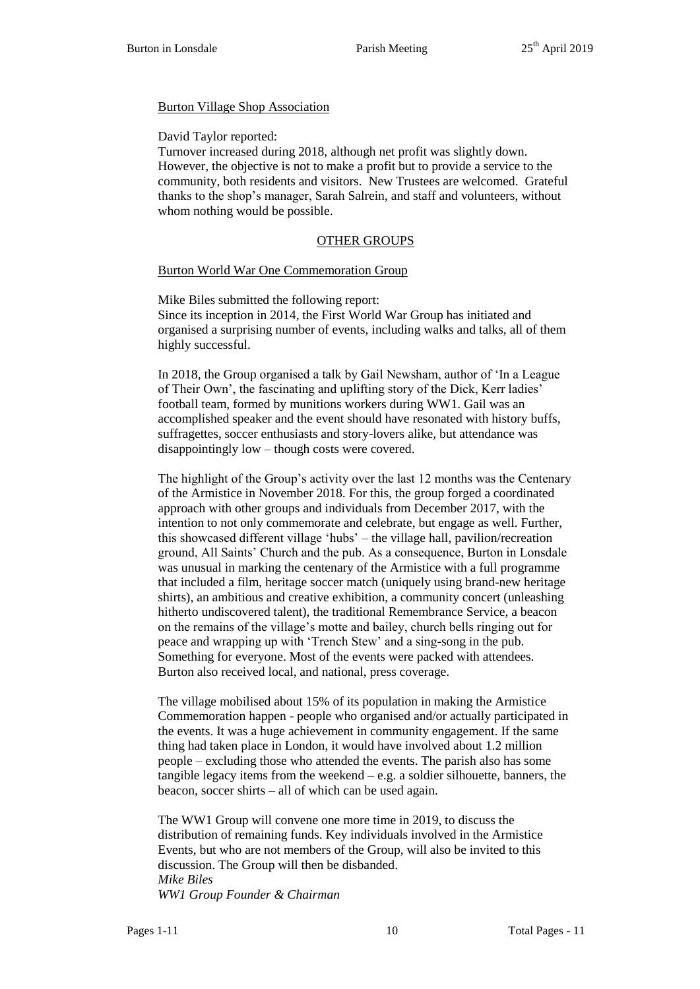## Burton Village Shop Association

## David Taylor reported:

Turnover increased during 2018, although net profit was slightly down. However, the objective is not to make a profit but to provide a service to the community, both residents and visitors. New Trustees are welcomed. Grateful thanks to the shop's manager, Sarah Salrein, and staff and volunteers, without whom nothing would be possible.

# OTHER GROUPS

## Burton World War One Commemoration Group

Mike Biles submitted the following report: Since its inception in 2014, the First World War Group has initiated and organised a surprising number of events, including walks and talks, all of them highly successful.

In 2018, the Group organised a talk by Gail Newsham, author of 'In a League of Their Own', the fascinating and uplifting story of the Dick, Kerr ladies' football team, formed by munitions workers during WW1. Gail was an accomplished speaker and the event should have resonated with history buffs, suffragettes, soccer enthusiasts and story-lovers alike, but attendance was disappointingly low – though costs were covered.

The highlight of the Group's activity over the last 12 months was the Centenary of the Armistice in November 2018. For this, the group forged a coordinated approach with other groups and individuals from December 2017, with the intention to not only commemorate and celebrate, but engage as well. Further, this showcased different village 'hubs' – the village hall, pavilion/recreation ground, All Saints' Church and the pub. As a consequence, Burton in Lonsdale was unusual in marking the centenary of the Armistice with a full programme that included a film, heritage soccer match (uniquely using brand-new heritage shirts), an ambitious and creative exhibition, a community concert (unleashing hitherto undiscovered talent), the traditional Remembrance Service, a beacon on the remains of the village's motte and bailey, church bells ringing out for peace and wrapping up with 'Trench Stew' and a sing-song in the pub. Something for everyone. Most of the events were packed with attendees. Burton also received local, and national, press coverage.

The village mobilised about 15% of its population in making the Armistice Commemoration happen - people who organised and/or actually participated in the events. It was a huge achievement in community engagement. If the same thing had taken place in London, it would have involved about 1.2 million people – excluding those who attended the events. The parish also has some tangible legacy items from the weekend – e.g. a soldier silhouette, banners, the beacon, soccer shirts – all of which can be used again.

The WW1 Group will convene one more time in 2019, to discuss the distribution of remaining funds. Key individuals involved in the Armistice Events, but who are not members of the Group, will also be invited to this discussion. The Group will then be disbanded. *Mike Biles WW1 Group Founder & Chairman*